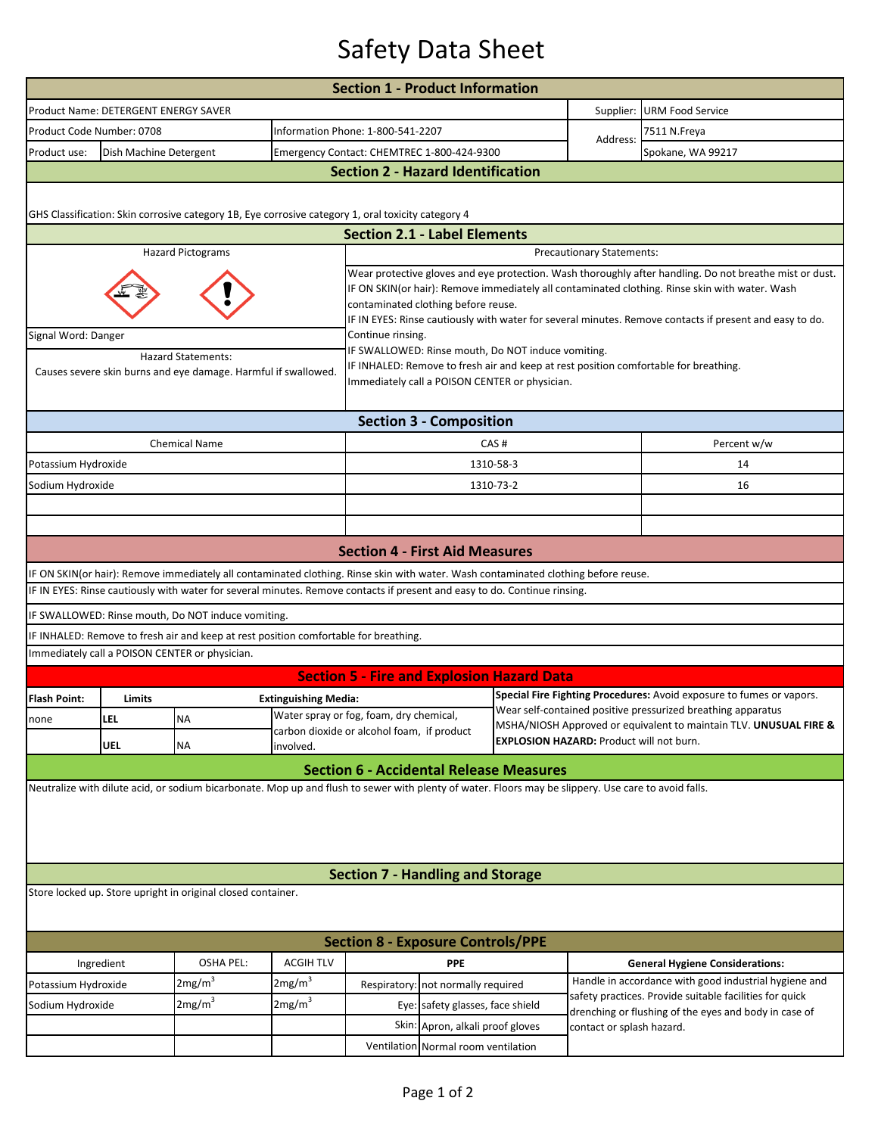## Safety Data Sheet

|                                                                                                                                                      |                                      |                                                                                                                                    |                                                                                                                                                                                                                   | <b>Section 1 - Product Information</b>                                                                                                                                                                                                                                                                                                                      |                                     |                                                                   |                                                                                                                                      |                                                                                                                  |  |  |  |  |
|------------------------------------------------------------------------------------------------------------------------------------------------------|--------------------------------------|------------------------------------------------------------------------------------------------------------------------------------|-------------------------------------------------------------------------------------------------------------------------------------------------------------------------------------------------------------------|-------------------------------------------------------------------------------------------------------------------------------------------------------------------------------------------------------------------------------------------------------------------------------------------------------------------------------------------------------------|-------------------------------------|-------------------------------------------------------------------|--------------------------------------------------------------------------------------------------------------------------------------|------------------------------------------------------------------------------------------------------------------|--|--|--|--|
|                                                                                                                                                      | Product Name: DETERGENT ENERGY SAVER |                                                                                                                                    |                                                                                                                                                                                                                   |                                                                                                                                                                                                                                                                                                                                                             |                                     |                                                                   | Supplier:                                                                                                                            | <b>URM Food Service</b>                                                                                          |  |  |  |  |
| Product Code Number: 0708                                                                                                                            |                                      |                                                                                                                                    |                                                                                                                                                                                                                   | Information Phone: 1-800-541-2207                                                                                                                                                                                                                                                                                                                           |                                     |                                                                   |                                                                                                                                      | 7511 N.Freya                                                                                                     |  |  |  |  |
| Product use:                                                                                                                                         | Dish Machine Detergent               |                                                                                                                                    |                                                                                                                                                                                                                   | Emergency Contact: CHEMTREC 1-800-424-9300                                                                                                                                                                                                                                                                                                                  |                                     |                                                                   | Address:                                                                                                                             | Spokane, WA 99217                                                                                                |  |  |  |  |
| <b>Section 2 - Hazard Identification</b>                                                                                                             |                                      |                                                                                                                                    |                                                                                                                                                                                                                   |                                                                                                                                                                                                                                                                                                                                                             |                                     |                                                                   |                                                                                                                                      |                                                                                                                  |  |  |  |  |
| GHS Classification: Skin corrosive category 1B, Eye corrosive category 1, oral toxicity category 4                                                   |                                      |                                                                                                                                    |                                                                                                                                                                                                                   |                                                                                                                                                                                                                                                                                                                                                             |                                     |                                                                   |                                                                                                                                      |                                                                                                                  |  |  |  |  |
| <b>Section 2.1 - Label Elements</b>                                                                                                                  |                                      |                                                                                                                                    |                                                                                                                                                                                                                   |                                                                                                                                                                                                                                                                                                                                                             |                                     |                                                                   |                                                                                                                                      |                                                                                                                  |  |  |  |  |
| <b>Hazard Pictograms</b><br><b>Precautionary Statements:</b>                                                                                         |                                      |                                                                                                                                    |                                                                                                                                                                                                                   |                                                                                                                                                                                                                                                                                                                                                             |                                     |                                                                   |                                                                                                                                      |                                                                                                                  |  |  |  |  |
|                                                                                                                                                      |                                      |                                                                                                                                    |                                                                                                                                                                                                                   | Wear protective gloves and eye protection. Wash thoroughly after handling. Do not breathe mist or dust.<br>IF ON SKIN(or hair): Remove immediately all contaminated clothing. Rinse skin with water. Wash<br>contaminated clothing before reuse.<br>IF IN EYES: Rinse cautiously with water for several minutes. Remove contacts if present and easy to do. |                                     |                                                                   |                                                                                                                                      |                                                                                                                  |  |  |  |  |
| Signal Word: Danger                                                                                                                                  |                                      | <b>Hazard Statements:</b><br>Causes severe skin burns and eye damage. Harmful if swallowed.                                        | Continue rinsing.<br>IF SWALLOWED: Rinse mouth, Do NOT induce vomiting.<br>IF INHALED: Remove to fresh air and keep at rest position comfortable for breathing.<br>Immediately call a POISON CENTER or physician. |                                                                                                                                                                                                                                                                                                                                                             |                                     |                                                                   |                                                                                                                                      |                                                                                                                  |  |  |  |  |
| <b>Section 3 - Composition</b>                                                                                                                       |                                      |                                                                                                                                    |                                                                                                                                                                                                                   |                                                                                                                                                                                                                                                                                                                                                             |                                     |                                                                   |                                                                                                                                      |                                                                                                                  |  |  |  |  |
|                                                                                                                                                      |                                      | <b>Chemical Name</b>                                                                                                               |                                                                                                                                                                                                                   |                                                                                                                                                                                                                                                                                                                                                             |                                     | CAS#                                                              |                                                                                                                                      | Percent w/w                                                                                                      |  |  |  |  |
| Potassium Hydroxide                                                                                                                                  |                                      |                                                                                                                                    |                                                                                                                                                                                                                   | 1310-58-3                                                                                                                                                                                                                                                                                                                                                   |                                     |                                                                   |                                                                                                                                      | 14                                                                                                               |  |  |  |  |
| Sodium Hydroxide                                                                                                                                     |                                      |                                                                                                                                    |                                                                                                                                                                                                                   |                                                                                                                                                                                                                                                                                                                                                             |                                     | 1310-73-2                                                         |                                                                                                                                      | 16                                                                                                               |  |  |  |  |
|                                                                                                                                                      |                                      |                                                                                                                                    |                                                                                                                                                                                                                   |                                                                                                                                                                                                                                                                                                                                                             |                                     |                                                                   |                                                                                                                                      |                                                                                                                  |  |  |  |  |
|                                                                                                                                                      |                                      |                                                                                                                                    |                                                                                                                                                                                                                   |                                                                                                                                                                                                                                                                                                                                                             |                                     |                                                                   |                                                                                                                                      |                                                                                                                  |  |  |  |  |
|                                                                                                                                                      |                                      |                                                                                                                                    |                                                                                                                                                                                                                   | <b>Section 4 - First Aid Measures</b>                                                                                                                                                                                                                                                                                                                       |                                     |                                                                   |                                                                                                                                      |                                                                                                                  |  |  |  |  |
|                                                                                                                                                      |                                      | IF ON SKIN(or hair): Remove immediately all contaminated clothing. Rinse skin with water. Wash contaminated clothing before reuse. |                                                                                                                                                                                                                   |                                                                                                                                                                                                                                                                                                                                                             |                                     |                                                                   |                                                                                                                                      |                                                                                                                  |  |  |  |  |
|                                                                                                                                                      |                                      | IF IN EYES: Rinse cautiously with water for several minutes. Remove contacts if present and easy to do. Continue rinsing.          |                                                                                                                                                                                                                   |                                                                                                                                                                                                                                                                                                                                                             |                                     |                                                                   |                                                                                                                                      |                                                                                                                  |  |  |  |  |
|                                                                                                                                                      |                                      | IF SWALLOWED: Rinse mouth, Do NOT induce vomiting.                                                                                 |                                                                                                                                                                                                                   |                                                                                                                                                                                                                                                                                                                                                             |                                     |                                                                   |                                                                                                                                      |                                                                                                                  |  |  |  |  |
|                                                                                                                                                      |                                      | IF INHALED: Remove to fresh air and keep at rest position comfortable for breathing.                                               |                                                                                                                                                                                                                   |                                                                                                                                                                                                                                                                                                                                                             |                                     |                                                                   |                                                                                                                                      |                                                                                                                  |  |  |  |  |
|                                                                                                                                                      |                                      | Immediately call a POISON CENTER or physician.                                                                                     |                                                                                                                                                                                                                   |                                                                                                                                                                                                                                                                                                                                                             |                                     |                                                                   |                                                                                                                                      |                                                                                                                  |  |  |  |  |
|                                                                                                                                                      |                                      |                                                                                                                                    |                                                                                                                                                                                                                   | <b>Section 5 - Fire and Explosion Hazard Data</b>                                                                                                                                                                                                                                                                                                           |                                     |                                                                   |                                                                                                                                      |                                                                                                                  |  |  |  |  |
| <b>Flash Point:</b>                                                                                                                                  | Limits                               |                                                                                                                                    | <b>Extinguishing Media:</b>                                                                                                                                                                                       |                                                                                                                                                                                                                                                                                                                                                             |                                     |                                                                   | Special Fire Fighting Procedures: Avoid exposure to fumes or vapors.<br>Wear self-contained positive pressurized breathing apparatus |                                                                                                                  |  |  |  |  |
| none                                                                                                                                                 | LEL                                  | <b>NA</b>                                                                                                                          |                                                                                                                                                                                                                   | Water spray or fog, foam, dry chemical,<br>carbon dioxide or alcohol foam, if product                                                                                                                                                                                                                                                                       |                                     | MSHA/NIOSH Approved or equivalent to maintain TLV. UNUSUAL FIRE & |                                                                                                                                      |                                                                                                                  |  |  |  |  |
|                                                                                                                                                      | <b>UEL</b>                           | NA                                                                                                                                 | <b>EXPLOSION HAZARD: Product will not burn.</b><br>involved.                                                                                                                                                      |                                                                                                                                                                                                                                                                                                                                                             |                                     |                                                                   |                                                                                                                                      |                                                                                                                  |  |  |  |  |
|                                                                                                                                                      |                                      |                                                                                                                                    |                                                                                                                                                                                                                   | <b>Section 6 - Accidental Release Measures</b>                                                                                                                                                                                                                                                                                                              |                                     |                                                                   |                                                                                                                                      |                                                                                                                  |  |  |  |  |
| Neutralize with dilute acid, or sodium bicarbonate. Mop up and flush to sewer with plenty of water. Floors may be slippery. Use care to avoid falls. |                                      |                                                                                                                                    |                                                                                                                                                                                                                   |                                                                                                                                                                                                                                                                                                                                                             |                                     |                                                                   |                                                                                                                                      |                                                                                                                  |  |  |  |  |
|                                                                                                                                                      |                                      |                                                                                                                                    |                                                                                                                                                                                                                   | <b>Section 7 - Handling and Storage</b>                                                                                                                                                                                                                                                                                                                     |                                     |                                                                   |                                                                                                                                      |                                                                                                                  |  |  |  |  |
| Store locked up. Store upright in original closed container.                                                                                         |                                      |                                                                                                                                    |                                                                                                                                                                                                                   |                                                                                                                                                                                                                                                                                                                                                             |                                     |                                                                   |                                                                                                                                      |                                                                                                                  |  |  |  |  |
| <b>Section 8 - Exposure Controls/PPE</b>                                                                                                             |                                      |                                                                                                                                    |                                                                                                                                                                                                                   |                                                                                                                                                                                                                                                                                                                                                             |                                     |                                                                   |                                                                                                                                      |                                                                                                                  |  |  |  |  |
| Ingredient                                                                                                                                           |                                      | <b>OSHA PEL:</b>                                                                                                                   | <b>ACGIH TLV</b>                                                                                                                                                                                                  | <b>PPE</b>                                                                                                                                                                                                                                                                                                                                                  |                                     |                                                                   |                                                                                                                                      | <b>General Hygiene Considerations:</b>                                                                           |  |  |  |  |
| Potassium Hydroxide                                                                                                                                  |                                      | 2mg/m <sup>3</sup>                                                                                                                 | 2mg/m <sup>3</sup>                                                                                                                                                                                                |                                                                                                                                                                                                                                                                                                                                                             | Respiratory: not normally required  |                                                                   |                                                                                                                                      | Handle in accordance with good industrial hygiene and                                                            |  |  |  |  |
| Sodium Hydroxide                                                                                                                                     |                                      | 2mg/m <sup>3</sup>                                                                                                                 | 2mg/m <sup>3</sup>                                                                                                                                                                                                | Eye: safety glasses, face shield                                                                                                                                                                                                                                                                                                                            |                                     |                                                                   |                                                                                                                                      | safety practices. Provide suitable facilities for quick<br>drenching or flushing of the eyes and body in case of |  |  |  |  |
|                                                                                                                                                      |                                      |                                                                                                                                    |                                                                                                                                                                                                                   | Skin: Apron, alkali proof gloves                                                                                                                                                                                                                                                                                                                            |                                     |                                                                   | contact or splash hazard.                                                                                                            |                                                                                                                  |  |  |  |  |
|                                                                                                                                                      |                                      |                                                                                                                                    |                                                                                                                                                                                                                   |                                                                                                                                                                                                                                                                                                                                                             | Ventilation Normal room ventilation |                                                                   |                                                                                                                                      |                                                                                                                  |  |  |  |  |